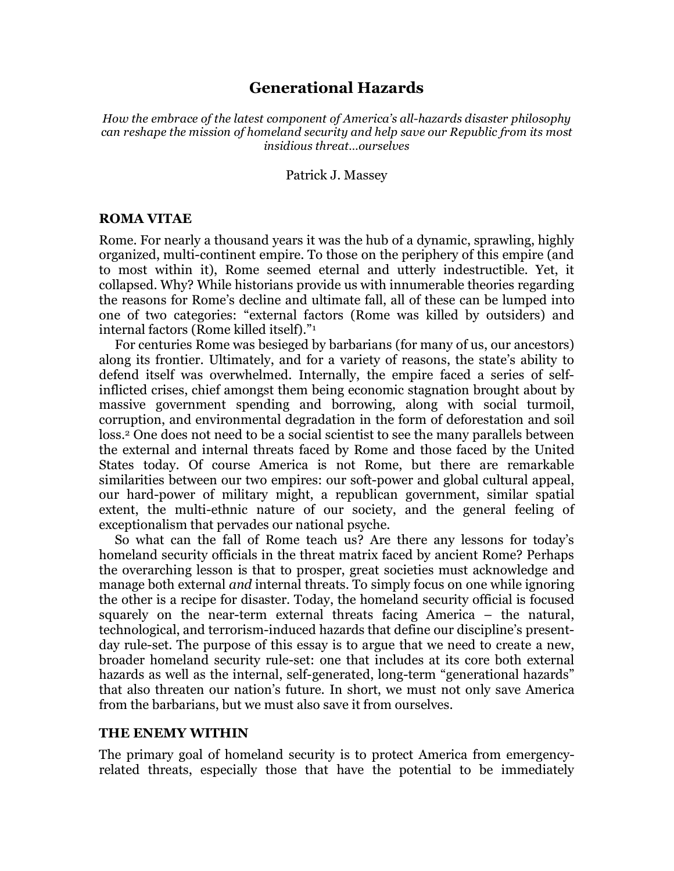# **Generational Hazards**

*How the embrace of the latest component of America's all-hazards disaster philosophy can reshape the mission of homeland security and help save our Republic from its most insidious threat…ourselves*

#### Patrick J. Massey

#### **ROMA VITAE**

Rome. For nearly a thousand years it was the hub of a dynamic, sprawling, highly organized, multi-continent empire. To those on the periphery of this empire (and to most within it), Rome seemed eternal and utterly indestructible. Yet, it collapsed. Why? While historians provide us with innumerable theories regarding the reasons for Rome's decline and ultimate fall, all of these can be lumped into one of two categories: "external factors (Rome was killed by outsiders) and internal factors (Rome killed itself)."1

For centuries Rome was besieged by barbarians (for many of us, our ancestors) along its frontier. Ultimately, and for a variety of reasons, the state's ability to defend itself was overwhelmed. Internally, the empire faced a series of selfinflicted crises, chief amongst them being economic stagnation brought about by massive government spending and borrowing, along with social turmoil, corruption, and environmental degradation in the form of deforestation and soil loss. <sup>2</sup> One does not need to be a social scientist to see the many parallels between the external and internal threats faced by Rome and those faced by the United States today. Of course America is not Rome, but there are remarkable similarities between our two empires: our soft-power and global cultural appeal, our hard-power of military might, a republican government, similar spatial extent, the multi-ethnic nature of our society, and the general feeling of exceptionalism that pervades our national psyche.

So what can the fall of Rome teach us? Are there any lessons for today's homeland security officials in the threat matrix faced by ancient Rome? Perhaps the overarching lesson is that to prosper, great societies must acknowledge and manage both external *and* internal threats. To simply focus on one while ignoring the other is a recipe for disaster. Today, the homeland security official is focused squarely on the near-term external threats facing America – the natural, technological, and terrorism-induced hazards that define our discipline's presentday rule-set. The purpose of this essay is to argue that we need to create a new, broader homeland security rule-set: one that includes at its core both external hazards as well as the internal, self-generated, long-term "generational hazards" that also threaten our nation's future. In short, we must not only save America from the barbarians, but we must also save it from ourselves.

### **THE ENEMY WITHIN**

The primary goal of homeland security is to protect America from emergencyrelated threats, especially those that have the potential to be immediately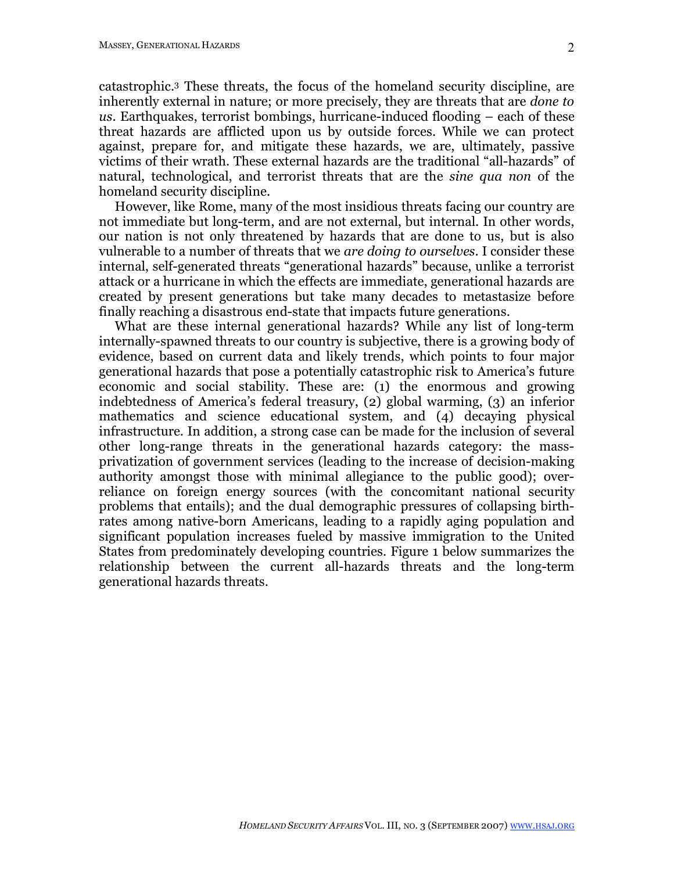catastrophic. <sup>3</sup> These threats, the focus of the homeland security discipline, are inherently external in nature; or more precisely, they are threats that are *done to us*. Earthquakes, terrorist bombings, hurricane-induced flooding – each of these threat hazards are afflicted upon us by outside forces. While we can protect against, prepare for, and mitigate these hazards, we are, ultimately, passive victims of their wrath. These external hazards are the traditional "all-hazards" of natural, technological, and terrorist threats that are the *sine qua non* of the homeland security discipline.

However, like Rome, many of the most insidious threats facing our country are not immediate but long-term, and are not external, but internal. In other words, our nation is not only threatened by hazards that are done to us, but is also vulnerable to a number of threats that we *are doing to ourselves*. I consider these internal, self-generated threats "generational hazards" because, unlike a terrorist attack or a hurricane in which the effects are immediate, generational hazards are created by present generations but take many decades to metastasize before finally reaching a disastrous end-state that impacts future generations.

What are these internal generational hazards? While any list of long-term internally-spawned threats to our country is subjective, there is a growing body of evidence, based on current data and likely trends, which points to four major generational hazards that pose a potentially catastrophic risk to America's future economic and social stability. These are: (1) the enormous and growing indebtedness of America's federal treasury, (2) global warming, (3) an inferior mathematics and science educational system, and (4) decaying physical infrastructure. In addition, a strong case can be made for the inclusion of several other long-range threats in the generational hazards category: the massprivatization of government services (leading to the increase of decision-making authority amongst those with minimal allegiance to the public good); overreliance on foreign energy sources (with the concomitant national security problems that entails); and the dual demographic pressures of collapsing birthrates among native-born Americans, leading to a rapidly aging population and significant population increases fueled by massive immigration to the United States from predominately developing countries. Figure 1 below summarizes the relationship between the current all-hazards threats and the long-term generational hazards threats.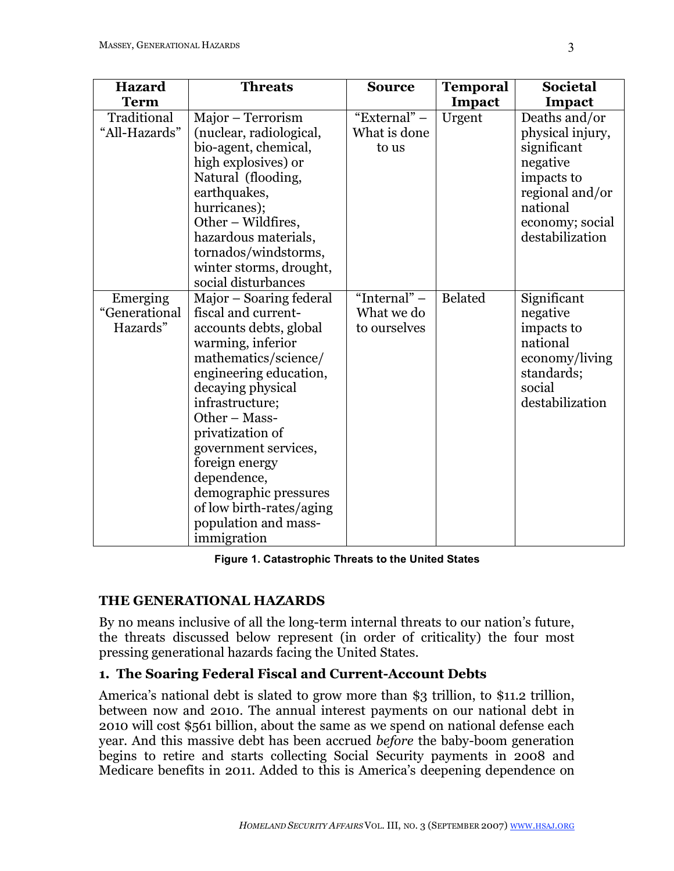| <b>Hazard</b>                         | <b>Threats</b>                                                                                                                                                                                                                                                                                                                                                                    | <b>Source</b>                                | <b>Temporal</b> | <b>Societal</b>                                                                                                                                 |
|---------------------------------------|-----------------------------------------------------------------------------------------------------------------------------------------------------------------------------------------------------------------------------------------------------------------------------------------------------------------------------------------------------------------------------------|----------------------------------------------|-----------------|-------------------------------------------------------------------------------------------------------------------------------------------------|
| <b>Term</b>                           |                                                                                                                                                                                                                                                                                                                                                                                   |                                              | Impact          | Impact                                                                                                                                          |
| Traditional<br>"All-Hazards"          | Major - Terrorism<br>(nuclear, radiological,<br>bio-agent, chemical,<br>high explosives) or<br>Natural (flooding,<br>earthquakes,<br>hurricanes);<br>Other – Wildfires,<br>hazardous materials,<br>tornados/windstorms,<br>winter storms, drought,<br>social disturbances                                                                                                         | "External" -<br>What is done<br>to us        | Urgent          | Deaths and/or<br>physical injury,<br>significant<br>negative<br>impacts to<br>regional and/or<br>national<br>economy; social<br>destabilization |
| Emerging<br>"Generational<br>Hazards" | Major – Soaring federal<br>fiscal and current-<br>accounts debts, global<br>warming, inferior<br>mathematics/science/<br>engineering education,<br>decaying physical<br>infrastructure;<br>Other - Mass-<br>privatization of<br>government services,<br>foreign energy<br>dependence,<br>demographic pressures<br>of low birth-rates/aging<br>population and mass-<br>immigration | "Internal" $-$<br>What we do<br>to ourselves | <b>Belated</b>  | Significant<br>negative<br>impacts to<br>national<br>economy/living<br>standards;<br>social<br>destabilization                                  |

**Figure 1. Catastrophic Threats to the United States**

# **THE GENERATIONAL HAZARDS**

By no means inclusive of all the long-term internal threats to our nation's future, the threats discussed below represent (in order of criticality) the four most pressing generational hazards facing the United States.

# **1. The Soaring Federal Fiscal and Current-Account Debts**

America's national debt is slated to grow more than \$3 trillion, to \$11.2 trillion, between now and 2010. The annual interest payments on our national debt in 2010 will cost \$561 billion, about the same as we spend on national defense each year. And this massive debt has been accrued *before* the baby-boom generation begins to retire and starts collecting Social Security payments in 2008 and Medicare benefits in 2011. Added to this is America's deepening dependence on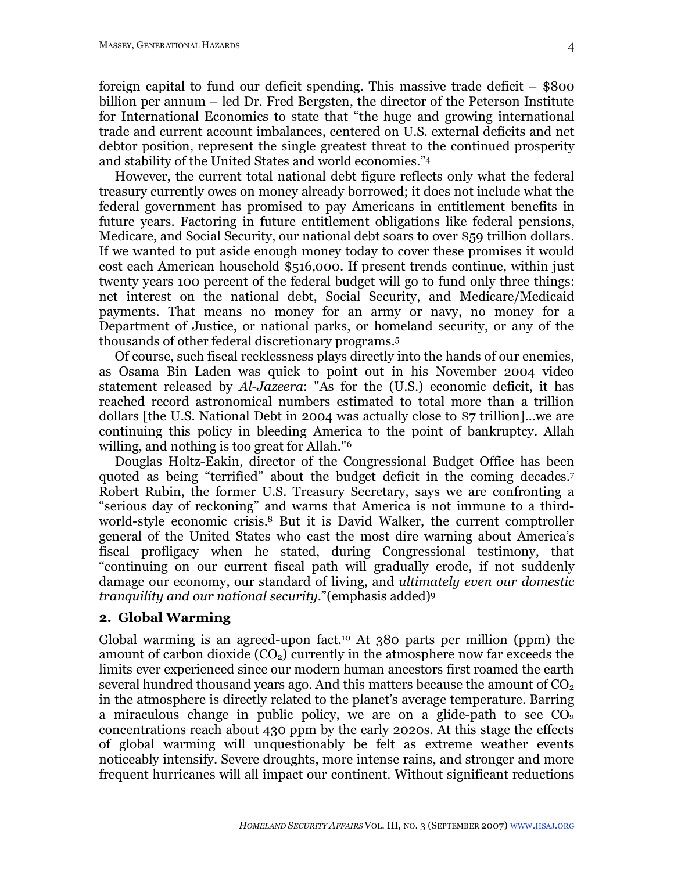foreign capital to fund our deficit spending. This massive trade deficit – \$800 billion per annum – led Dr. Fred Bergsten, the director of the Peterson Institute for International Economics to state that "the huge and growing international trade and current account imbalances, centered on U.S. external deficits and net debtor position, represent the single greatest threat to the continued prosperity and stability of the United States and world economies."4

However, the current total national debt figure reflects only what the federal treasury currently owes on money already borrowed; it does not include what the federal government has promised to pay Americans in entitlement benefits in future years. Factoring in future entitlement obligations like federal pensions, Medicare, and Social Security, our national debt soars to over \$59 trillion dollars. If we wanted to put aside enough money today to cover these promises it would cost each American household \$516,000. If present trends continue, within just twenty years 100 percent of the federal budget will go to fund only three things: net interest on the national debt, Social Security, and Medicare/Medicaid payments. That means no money for an army or navy, no money for a Department of Justice, or national parks, or homeland security, or any of the thousands of other federal discretionary programs.5

Of course, such fiscal recklessness plays directly into the hands of our enemies, as Osama Bin Laden was quick to point out in his November 2004 video statement released by *Al-Jazeera*: "As for the (U.S.) economic deficit, it has reached record astronomical numbers estimated to total more than a trillion dollars [the U.S. National Debt in 2004 was actually close to \$7 trillion]…we are continuing this policy in bleeding America to the point of bankruptcy. Allah willing, and nothing is too great for Allah."6

Douglas Holtz-Eakin, director of the Congressional Budget Office has been quoted as being "terrified" about the budget deficit in the coming decades.7 Robert Rubin, the former U.S. Treasury Secretary, says we are confronting a "serious day of reckoning" and warns that America is not immune to a thirdworld-style economic crisis. <sup>8</sup> But it is David Walker, the current comptroller general of the United States who cast the most dire warning about America's fiscal profligacy when he stated, during Congressional testimony, that "continuing on our current fiscal path will gradually erode, if not suddenly damage our economy, our standard of living, and *ultimately even our domestic tranquility and our national security*."(emphasis added)9

## **2. Global Warming**

Global warming is an agreed-upon fact. <sup>10</sup> At 380 parts per million (ppm) the amount of carbon dioxide  $(CO_2)$  currently in the atmosphere now far exceeds the limits ever experienced since our modern human ancestors first roamed the earth several hundred thousand years ago. And this matters because the amount of  $CO<sub>2</sub>$ in the atmosphere is directly related to the planet's average temperature. Barring a miraculous change in public policy, we are on a glide-path to see  $CO<sub>2</sub>$ concentrations reach about 430 ppm by the early 2020s. At this stage the effects of global warming will unquestionably be felt as extreme weather events noticeably intensify. Severe droughts, more intense rains, and stronger and more frequent hurricanes will all impact our continent. Without significant reductions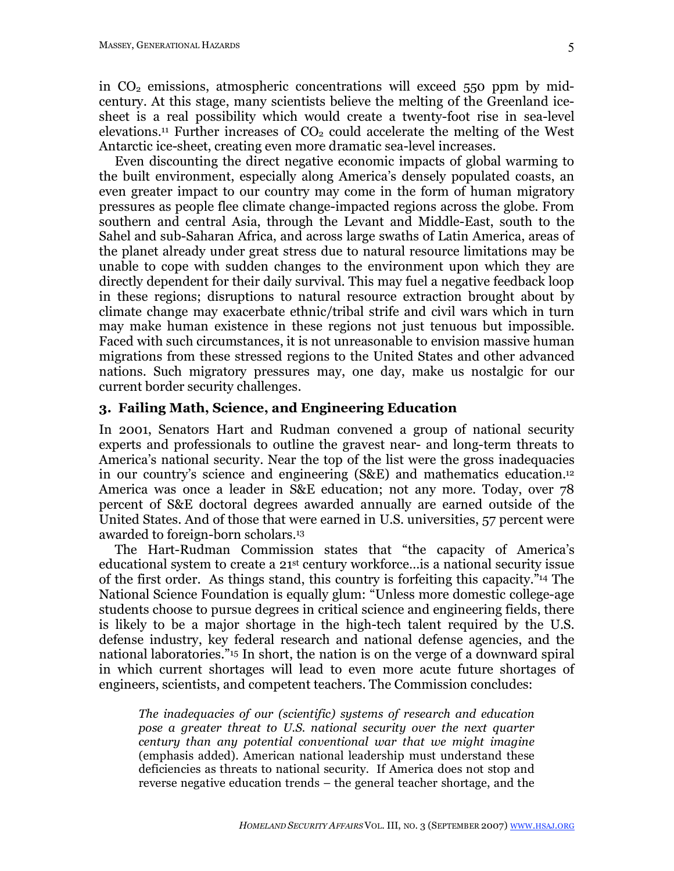in  $CO<sub>2</sub>$  emissions, atmospheric concentrations will exceed 550 ppm by midcentury. At this stage, many scientists believe the melting of the Greenland icesheet is a real possibility which would create a twenty-foot rise in sea-level elevations.<sup>11</sup> Further increases of  $CO<sub>2</sub>$  could accelerate the melting of the West Antarctic ice-sheet, creating even more dramatic sea-level increases.

Even discounting the direct negative economic impacts of global warming to the built environment, especially along America's densely populated coasts, an even greater impact to our country may come in the form of human migratory pressures as people flee climate change-impacted regions across the globe. From southern and central Asia, through the Levant and Middle-East, south to the Sahel and sub-Saharan Africa, and across large swaths of Latin America, areas of the planet already under great stress due to natural resource limitations may be unable to cope with sudden changes to the environment upon which they are directly dependent for their daily survival. This may fuel a negative feedback loop in these regions; disruptions to natural resource extraction brought about by climate change may exacerbate ethnic/tribal strife and civil wars which in turn may make human existence in these regions not just tenuous but impossible. Faced with such circumstances, it is not unreasonable to envision massive human migrations from these stressed regions to the United States and other advanced nations. Such migratory pressures may, one day, make us nostalgic for our current border security challenges.

## **3. Failing Math, Science, and Engineering Education**

In 2001, Senators Hart and Rudman convened a group of national security experts and professionals to outline the gravest near- and long-term threats to America's national security. Near the top of the list were the gross inadequacies in our country's science and engineering (S&E) and mathematics education. 12 America was once a leader in S&E education; not any more. Today, over 78 percent of S&E doctoral degrees awarded annually are earned outside of the United States. And of those that were earned in U.S. universities, 57 percent were awarded to foreign-born scholars.13

The Hart-Rudman Commission states that "the capacity of America's educational system to create a 21st century workforce…is a national security issue of the first order. As things stand, this country is forfeiting this capacity."14 The National Science Foundation is equally glum: "Unless more domestic college-age students choose to pursue degrees in critical science and engineering fields, there is likely to be a major shortage in the high-tech talent required by the U.S. defense industry, key federal research and national defense agencies, and the national laboratories."15 In short, the nation is on the verge of a downward spiral in which current shortages will lead to even more acute future shortages of engineers, scientists, and competent teachers. The Commission concludes:

*The inadequacies of our (scientific) systems of research and education pose a greater threat to U.S. national security over the next quarter century than any potential conventional war that we might imagine* (emphasis added). American national leadership must understand these deficiencies as threats to national security. If America does not stop and reverse negative education trends – the general teacher shortage, and the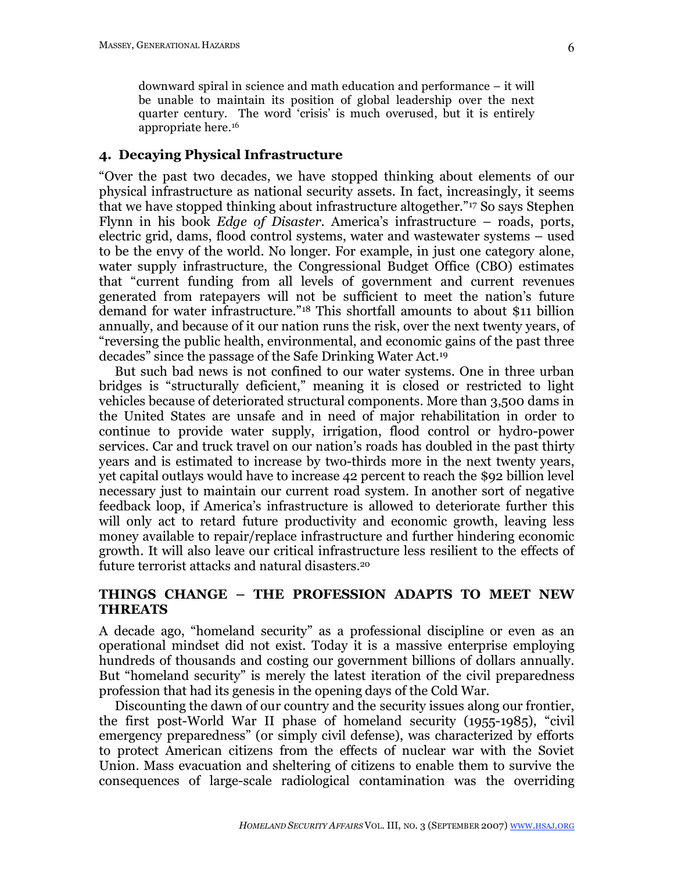downward spiral in science and math education and performance – it will be unable to maintain its position of global leadership over the next quarter century. The word 'crisis' is much overused, but it is entirely appropriate here.16

#### **4. Decaying Physical Infrastructure**

"Over the past two decades, we have stopped thinking about elements of our physical infrastructure as national security assets. In fact, increasingly, it seems that we have stopped thinking about infrastructure altogether."17 So says Stephen Flynn in his book *Edge of Disaster*. America's infrastructure – roads, ports, electric grid, dams, flood control systems, water and wastewater systems – used to be the envy of the world. No longer. For example, in just one category alone, water supply infrastructure, the Congressional Budget Office (CBO) estimates that "current funding from all levels of government and current revenues generated from ratepayers will not be sufficient to meet the nation's future demand for water infrastructure."18 This shortfall amounts to about \$11 billion annually, and because of it our nation runs the risk, over the next twenty years, of "reversing the public health, environmental, and economic gains of the past three decades" since the passage of the Safe Drinking Water Act.19

But such bad news is not confined to our water systems. One in three urban bridges is "structurally deficient," meaning it is closed or restricted to light vehicles because of deteriorated structural components. More than 3,500 dams in the United States are unsafe and in need of major rehabilitation in order to continue to provide water supply, irrigation, flood control or hydro-power services. Car and truck travel on our nation's roads has doubled in the past thirty years and is estimated to increase by two-thirds more in the next twenty years, yet capital outlays would have to increase 42 percent to reach the \$92 billion level necessary just to maintain our current road system. In another sort of negative feedback loop, if America's infrastructure is allowed to deteriorate further this will only act to retard future productivity and economic growth, leaving less money available to repair/replace infrastructure and further hindering economic growth. It will also leave our critical infrastructure less resilient to the effects of future terrorist attacks and natural disasters. 20

## **THINGS CHANGE – THE PROFESSION ADAPTS TO MEET NEW THREATS**

A decade ago, "homeland security" as a professional discipline or even as an operational mindset did not exist. Today it is a massive enterprise employing hundreds of thousands and costing our government billions of dollars annually. But "homeland security" is merely the latest iteration of the civil preparedness profession that had its genesis in the opening days of the Cold War.

Discounting the dawn of our country and the security issues along our frontier, the first post-World War II phase of homeland security (1955-1985), "civil emergency preparedness" (or simply civil defense), was characterized by efforts to protect American citizens from the effects of nuclear war with the Soviet Union. Mass evacuation and sheltering of citizens to enable them to survive the consequences of large-scale radiological contamination was the overriding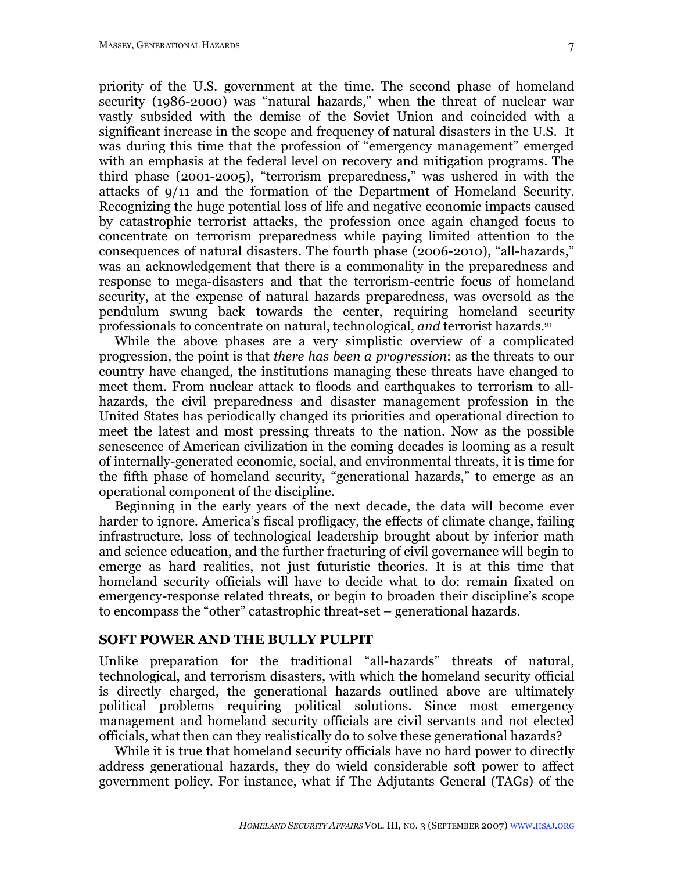priority of the U.S. government at the time. The second phase of homeland security (1986-2000) was "natural hazards," when the threat of nuclear war vastly subsided with the demise of the Soviet Union and coincided with a significant increase in the scope and frequency of natural disasters in the U.S. It was during this time that the profession of "emergency management" emerged with an emphasis at the federal level on recovery and mitigation programs. The third phase (2001-2005), "terrorism preparedness," was ushered in with the attacks of 9/11 and the formation of the Department of Homeland Security. Recognizing the huge potential loss of life and negative economic impacts caused by catastrophic terrorist attacks, the profession once again changed focus to concentrate on terrorism preparedness while paying limited attention to the consequences of natural disasters. The fourth phase (2006-2010), "all-hazards," was an acknowledgement that there is a commonality in the preparedness and response to mega-disasters and that the terrorism-centric focus of homeland security, at the expense of natural hazards preparedness, was oversold as the pendulum swung back towards the center, requiring homeland security professionals to concentrate on natural, technological, *and* terrorist hazards.21

While the above phases are a very simplistic overview of a complicated progression, the point is that *there has been a progression*: as the threats to our country have changed, the institutions managing these threats have changed to meet them. From nuclear attack to floods and earthquakes to terrorism to allhazards, the civil preparedness and disaster management profession in the United States has periodically changed its priorities and operational direction to meet the latest and most pressing threats to the nation. Now as the possible senescence of American civilization in the coming decades is looming as a result of internally-generated economic, social, and environmental threats, it is time for the fifth phase of homeland security, "generational hazards," to emerge as an operational component of the discipline.

Beginning in the early years of the next decade, the data will become ever harder to ignore. America's fiscal profligacy, the effects of climate change, failing infrastructure, loss of technological leadership brought about by inferior math and science education, and the further fracturing of civil governance will begin to emerge as hard realities, not just futuristic theories. It is at this time that homeland security officials will have to decide what to do: remain fixated on emergency-response related threats, or begin to broaden their discipline's scope to encompass the "other" catastrophic threat-set – generational hazards.

#### **SOFT POWER AND THE BULLY PULPIT**

Unlike preparation for the traditional "all-hazards" threats of natural, technological, and terrorism disasters, with which the homeland security official is directly charged, the generational hazards outlined above are ultimately political problems requiring political solutions. Since most emergency management and homeland security officials are civil servants and not elected officials, what then can they realistically do to solve these generational hazards?

While it is true that homeland security officials have no hard power to directly address generational hazards, they do wield considerable soft power to affect government policy. For instance, what if The Adjutants General (TAGs) of the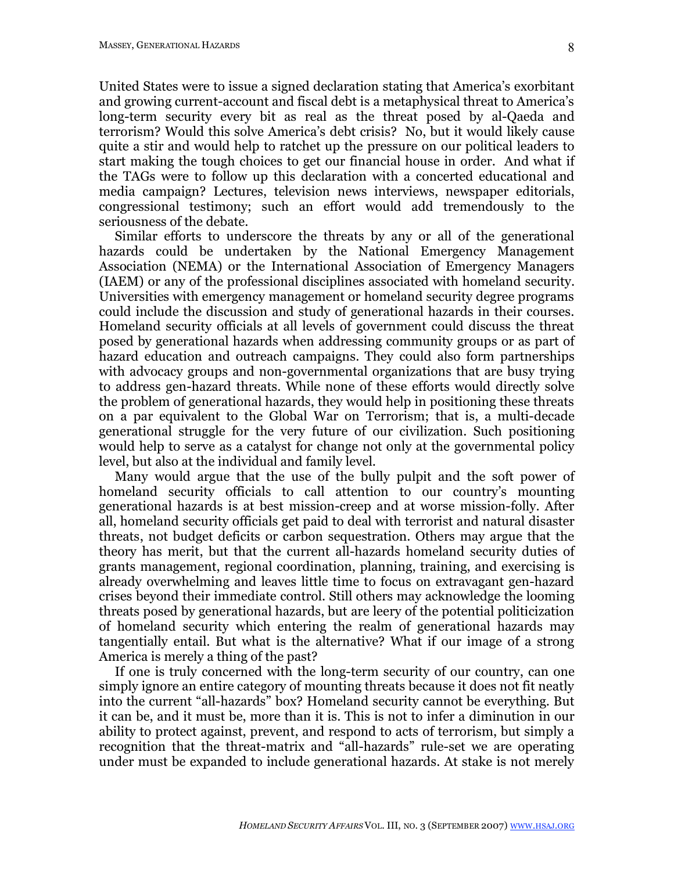United States were to issue a signed declaration stating that America's exorbitant and growing current-account and fiscal debt is a metaphysical threat to America's long-term security every bit as real as the threat posed by al-Qaeda and terrorism? Would this solve America's debt crisis? No, but it would likely cause quite a stir and would help to ratchet up the pressure on our political leaders to start making the tough choices to get our financial house in order. And what if the TAGs were to follow up this declaration with a concerted educational and media campaign? Lectures, television news interviews, newspaper editorials, congressional testimony; such an effort would add tremendously to the seriousness of the debate.

Similar efforts to underscore the threats by any or all of the generational hazards could be undertaken by the National Emergency Management Association (NEMA) or the International Association of Emergency Managers (IAEM) or any of the professional disciplines associated with homeland security. Universities with emergency management or homeland security degree programs could include the discussion and study of generational hazards in their courses. Homeland security officials at all levels of government could discuss the threat posed by generational hazards when addressing community groups or as part of hazard education and outreach campaigns. They could also form partnerships with advocacy groups and non-governmental organizations that are busy trying to address gen-hazard threats. While none of these efforts would directly solve the problem of generational hazards, they would help in positioning these threats on a par equivalent to the Global War on Terrorism; that is, a multi-decade generational struggle for the very future of our civilization. Such positioning would help to serve as a catalyst for change not only at the governmental policy level, but also at the individual and family level.

Many would argue that the use of the bully pulpit and the soft power of homeland security officials to call attention to our country's mounting generational hazards is at best mission-creep and at worse mission-folly. After all, homeland security officials get paid to deal with terrorist and natural disaster threats, not budget deficits or carbon sequestration. Others may argue that the theory has merit, but that the current all-hazards homeland security duties of grants management, regional coordination, planning, training, and exercising is already overwhelming and leaves little time to focus on extravagant gen-hazard crises beyond their immediate control. Still others may acknowledge the looming threats posed by generational hazards, but are leery of the potential politicization of homeland security which entering the realm of generational hazards may tangentially entail. But what is the alternative? What if our image of a strong America is merely a thing of the past?

If one is truly concerned with the long-term security of our country, can one simply ignore an entire category of mounting threats because it does not fit neatly into the current "all-hazards" box? Homeland security cannot be everything. But it can be, and it must be, more than it is. This is not to infer a diminution in our ability to protect against, prevent, and respond to acts of terrorism, but simply a recognition that the threat-matrix and "all-hazards" rule-set we are operating under must be expanded to include generational hazards. At stake is not merely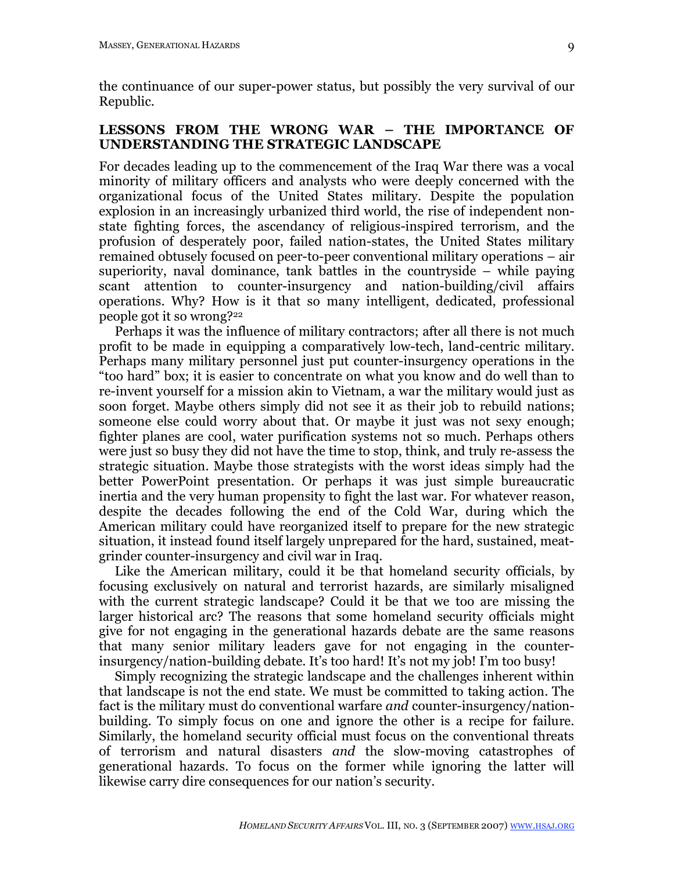the continuance of our super-power status, but possibly the very survival of our Republic.

## **LESSONS FROM THE WRONG WAR – THE IMPORTANCE OF UNDERSTANDING THE STRATEGIC LANDSCAPE**

For decades leading up to the commencement of the Iraq War there was a vocal minority of military officers and analysts who were deeply concerned with the organizational focus of the United States military. Despite the population explosion in an increasingly urbanized third world, the rise of independent nonstate fighting forces, the ascendancy of religious-inspired terrorism, and the profusion of desperately poor, failed nation-states, the United States military remained obtusely focused on peer-to-peer conventional military operations – air superiority, naval dominance, tank battles in the countryside – while paying scant attention to counter-insurgency and nation-building/civil affairs operations. Why? How is it that so many intelligent, dedicated, professional people got it so wrong?22

Perhaps it was the influence of military contractors; after all there is not much profit to be made in equipping a comparatively low-tech, land-centric military. Perhaps many military personnel just put counter-insurgency operations in the "too hard" box; it is easier to concentrate on what you know and do well than to re-invent yourself for a mission akin to Vietnam, a war the military would just as soon forget. Maybe others simply did not see it as their job to rebuild nations; someone else could worry about that. Or maybe it just was not sexy enough; fighter planes are cool, water purification systems not so much. Perhaps others were just so busy they did not have the time to stop, think, and truly re-assess the strategic situation. Maybe those strategists with the worst ideas simply had the better PowerPoint presentation. Or perhaps it was just simple bureaucratic inertia and the very human propensity to fight the last war. For whatever reason, despite the decades following the end of the Cold War, during which the American military could have reorganized itself to prepare for the new strategic situation, it instead found itself largely unprepared for the hard, sustained, meatgrinder counter-insurgency and civil war in Iraq.

Like the American military, could it be that homeland security officials, by focusing exclusively on natural and terrorist hazards, are similarly misaligned with the current strategic landscape? Could it be that we too are missing the larger historical arc? The reasons that some homeland security officials might give for not engaging in the generational hazards debate are the same reasons that many senior military leaders gave for not engaging in the counterinsurgency/nation-building debate. It's too hard! It's not my job! I'm too busy!

Simply recognizing the strategic landscape and the challenges inherent within that landscape is not the end state. We must be committed to taking action. The fact is the military must do conventional warfare *and* counter-insurgency/nationbuilding. To simply focus on one and ignore the other is a recipe for failure. Similarly, the homeland security official must focus on the conventional threats of terrorism and natural disasters *and* the slow-moving catastrophes of generational hazards. To focus on the former while ignoring the latter will likewise carry dire consequences for our nation's security.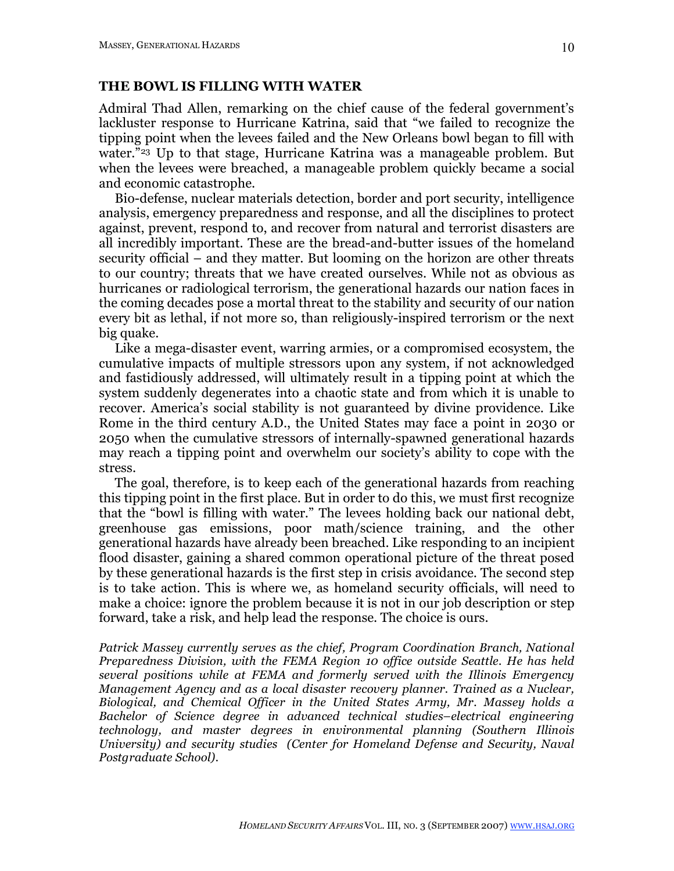### **THE BOWL IS FILLING WITH WATER**

Admiral Thad Allen, remarking on the chief cause of the federal government's lackluster response to Hurricane Katrina, said that "we failed to recognize the tipping point when the levees failed and the New Orleans bowl began to fill with water."<sup>23</sup> Up to that stage, Hurricane Katrina was a manageable problem. But when the levees were breached, a manageable problem quickly became a social and economic catastrophe.

Bio-defense, nuclear materials detection, border and port security, intelligence analysis, emergency preparedness and response, and all the disciplines to protect against, prevent, respond to, and recover from natural and terrorist disasters are all incredibly important. These are the bread-and-butter issues of the homeland security official – and they matter. But looming on the horizon are other threats to our country; threats that we have created ourselves. While not as obvious as hurricanes or radiological terrorism, the generational hazards our nation faces in the coming decades pose a mortal threat to the stability and security of our nation every bit as lethal, if not more so, than religiously-inspired terrorism or the next big quake.

Like a mega-disaster event, warring armies, or a compromised ecosystem, the cumulative impacts of multiple stressors upon any system, if not acknowledged and fastidiously addressed, will ultimately result in a tipping point at which the system suddenly degenerates into a chaotic state and from which it is unable to recover. America's social stability is not guaranteed by divine providence. Like Rome in the third century A.D., the United States may face a point in 2030 or 2050 when the cumulative stressors of internally-spawned generational hazards may reach a tipping point and overwhelm our society's ability to cope with the stress.

The goal, therefore, is to keep each of the generational hazards from reaching this tipping point in the first place. But in order to do this, we must first recognize that the "bowl is filling with water." The levees holding back our national debt, greenhouse gas emissions, poor math/science training, and the other generational hazards have already been breached. Like responding to an incipient flood disaster, gaining a shared common operational picture of the threat posed by these generational hazards is the first step in crisis avoidance. The second step is to take action. This is where we, as homeland security officials, will need to make a choice: ignore the problem because it is not in our job description or step forward, take a risk, and help lead the response. The choice is ours.

*Patrick Massey currently serves as the chief, Program Coordination Branch, National Preparedness Division, with the FEMA Region 10 office outside Seattle. He has held several positions while at FEMA and formerly served with the Illinois Emergency Management Agency and as a local disaster recovery planner. Trained as a Nuclear, Biological, and Chemical Officer in the United States Army, Mr. Massey holds a Bachelor of Science degree in advanced technical studies–electrical engineering technology, and master degrees in environmental planning (Southern Illinois University) and security studies (Center for Homeland Defense and Security, Naval Postgraduate School).*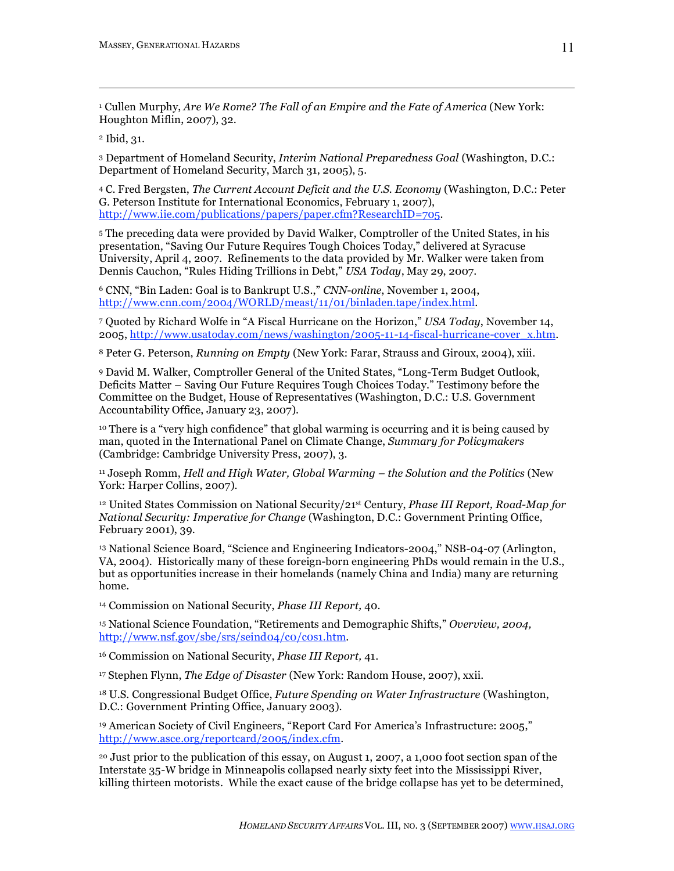<sup>1</sup> Cullen Murphy, *Are We Rome? The Fall of an Empire and the Fate of America* (New York: Houghton Miflin, 2007), 32.

<sup>2</sup> Ibid, 31.

 $\overline{a}$ 

<sup>3</sup> Department of Homeland Security, *Interim National Preparedness Goal* (Washington, D.C.: Department of Homeland Security, March 31, 2005), 5.

<sup>4</sup> C. Fred Bergsten, *The Current Account Deficit and the U.S. Economy* (Washington, D.C.: Peter G. Peterson Institute for International Economics, February 1, 2007), http://www.iie.com/publications/papers/paper.cfm?ResearchID=705.

<sup>5</sup> The preceding data were provided by David Walker, Comptroller of the United States, in his presentation, "Saving Our Future Requires Tough Choices Today," delivered at Syracuse University, April 4, 2007. Refinements to the data provided by Mr. Walker were taken from Dennis Cauchon, "Rules Hiding Trillions in Debt," *USA Today*, May 29, 2007.

<sup>6</sup> CNN, "Bin Laden: Goal is to Bankrupt U.S.," *CNN-online*, November 1, 2004, http://www.cnn.com/2004/WORLD/meast/11/01/binladen.tape/index.html.

<sup>7</sup> Quoted by Richard Wolfe in "A Fiscal Hurricane on the Horizon," *USA Today*, November 14, 2005, http://www.usatoday.com/news/washington/2005-11-14-fiscal-hurricane-cover\_x.htm.

<sup>8</sup> Peter G. Peterson, *Running on Empty* (New York: Farar, Strauss and Giroux, 2004), xiii.

<sup>9</sup> David M. Walker, Comptroller General of the United States, "Long-Term Budget Outlook, Deficits Matter – Saving Our Future Requires Tough Choices Today." Testimony before the Committee on the Budget, House of Representatives (Washington, D.C.: U.S. Government Accountability Office, January 23, 2007).

<sup>10</sup> There is a "very high confidence" that global warming is occurring and it is being caused by man, quoted in the International Panel on Climate Change, *Summary for Policymakers* (Cambridge: Cambridge University Press, 2007), 3.

<sup>11</sup> Joseph Romm, *Hell and High Water, Global Warming – the Solution and the Politics* (New York: Harper Collins, 2007).

<sup>12</sup> United States Commission on National Security/21st Century, *Phase III Report, Road-Map for National Security: Imperative for Change* (Washington, D.C.: Government Printing Office, February 2001), 39.

<sup>13</sup> National Science Board, "Science and Engineering Indicators-2004," NSB-04-07 (Arlington, VA, 2004). Historically many of these foreign-born engineering PhDs would remain in the U.S., but as opportunities increase in their homelands (namely China and India) many are returning home.

<sup>14</sup> Commission on National Security, *Phase III Report,* 40.

<sup>15</sup> National Science Foundation, "Retirements and Demographic Shifts," *Overview, 2004,* http://www.nsf.gov/sbe/srs/seind04/c0/c0s1.htm.

<sup>16</sup> Commission on National Security, *Phase III Report,* 41.

<sup>17</sup> Stephen Flynn, *The Edge of Disaster* (New York: Random House, 2007), xxii.

<sup>18</sup> U.S. Congressional Budget Office, *Future Spending on Water Infrastructure* (Washington, D.C.: Government Printing Office, January 2003).

<sup>19</sup> American Society of Civil Engineers, "Report Card For America's Infrastructure: 2005," http://www.asce.org/reportcard/2005/index.cfm.

<sup>20</sup> Just prior to the publication of this essay, on August 1, 2007, a 1,000 foot section span of the Interstate 35-W bridge in Minneapolis collapsed nearly sixty feet into the Mississippi River, killing thirteen motorists. While the exact cause of the bridge collapse has yet to be determined,